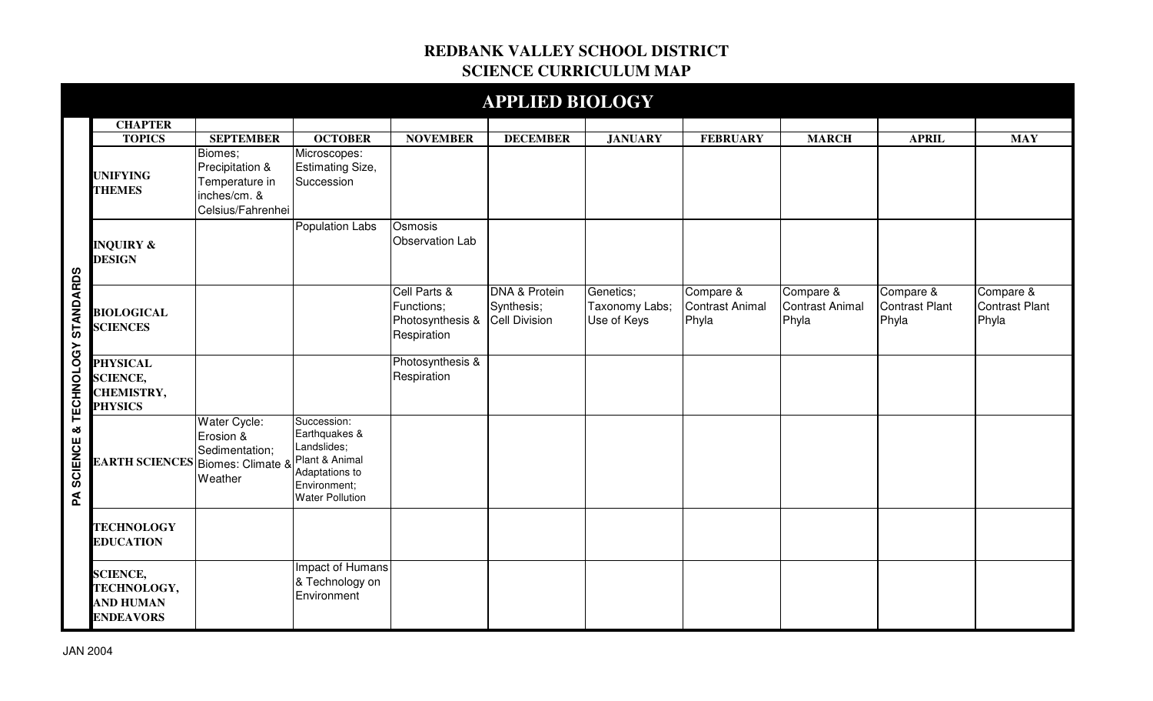## **REDBANK VALLEY SCHOOL DISTRICT SCIENCE CURRICULUM MAP**

|                        |                                                                           |                                                                                   |                                                                                                         |                                                               | <b>APPLIED BIOLOGY</b>                                  |                                            |                                              |                                       |                                             |                                      |
|------------------------|---------------------------------------------------------------------------|-----------------------------------------------------------------------------------|---------------------------------------------------------------------------------------------------------|---------------------------------------------------------------|---------------------------------------------------------|--------------------------------------------|----------------------------------------------|---------------------------------------|---------------------------------------------|--------------------------------------|
|                        | <b>CHAPTER</b>                                                            |                                                                                   |                                                                                                         |                                                               |                                                         |                                            |                                              |                                       |                                             |                                      |
|                        | <b>TOPICS</b>                                                             | <b>SEPTEMBER</b>                                                                  | <b>OCTOBER</b>                                                                                          | <b>NOVEMBER</b>                                               | <b>DECEMBER</b>                                         | <b>JANUARY</b>                             | <b>FEBRUARY</b>                              | <b>MARCH</b>                          | <b>APRIL</b>                                | <b>MAY</b>                           |
| & TECHNOLOGY STANDARDS | <b>UNIFYING</b><br><b>THEMES</b>                                          | Biomes;<br>Precipitation &<br>Temperature in<br>inches/cm. &<br>Celsius/Fahrenhei | Microscopes:<br><b>Estimating Size,</b><br>Succession                                                   |                                                               |                                                         |                                            |                                              |                                       |                                             |                                      |
|                        | <b>INQUIRY &amp;</b><br><b>DESIGN</b>                                     |                                                                                   | <b>Population Labs</b>                                                                                  | Osmosis<br><b>Observation Lab</b>                             |                                                         |                                            |                                              |                                       |                                             |                                      |
|                        | <b>BIOLOGICAL</b><br><b>SCIENCES</b>                                      |                                                                                   |                                                                                                         | Cell Parts &<br>Functions;<br>Photosynthesis &<br>Respiration | <b>DNA &amp; Protein</b><br>Synthesis;<br>Cell Division | Genetics;<br>Taxonomy Labs;<br>Use of Keys | Compare &<br><b>Contrast Animal</b><br>Phyla | Compare &<br>Contrast Animal<br>Phyla | Compare &<br><b>Contrast Plant</b><br>Phyla | Compare &<br>Contrast Plant<br>Phyla |
|                        | <b>PHYSICAL</b><br><b>SCIENCE,</b><br><b>CHEMISTRY,</b><br><b>PHYSICS</b> |                                                                                   |                                                                                                         | Photosynthesis &<br>Respiration                               |                                                         |                                            |                                              |                                       |                                             |                                      |
| <b>PA SCIENCE</b>      | EARTH SCIENCES Biomes: Climate & Plant & Animal                           | Water Cycle:<br>Erosion &<br>Sedimentation;<br>Weather                            | Succession:<br>Earthquakes &<br>Landslides;<br>Adaptations to<br>Environment;<br><b>Water Pollution</b> |                                                               |                                                         |                                            |                                              |                                       |                                             |                                      |
|                        | <b>TECHNOLOGY</b><br><b>EDUCATION</b>                                     |                                                                                   |                                                                                                         |                                                               |                                                         |                                            |                                              |                                       |                                             |                                      |
|                        | <b>SCIENCE,</b><br>TECHNOLOGY,<br><b>AND HUMAN</b><br><b>ENDEAVORS</b>    |                                                                                   | Impact of Humans<br>& Technology on<br>Environment                                                      |                                                               |                                                         |                                            |                                              |                                       |                                             |                                      |